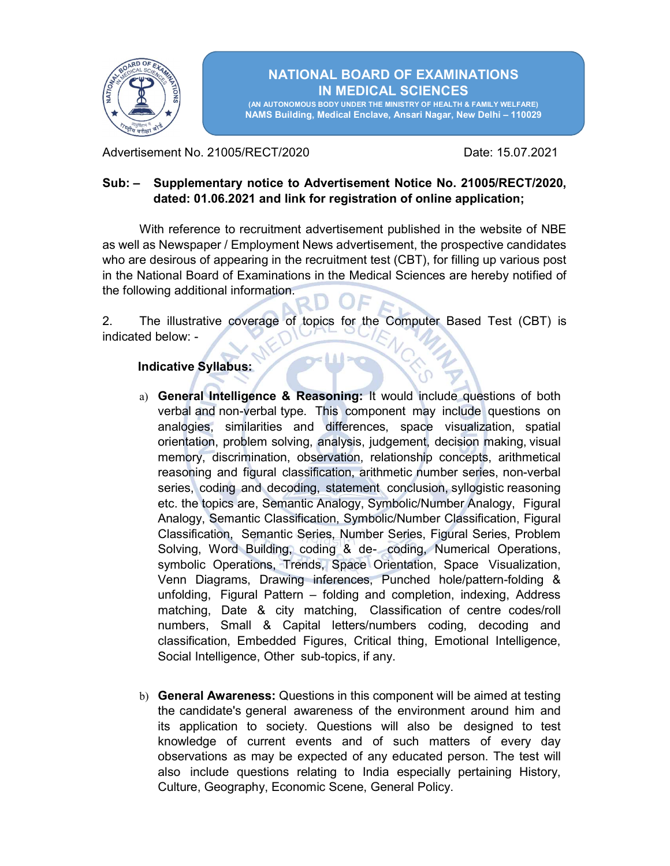

## NATIONAL BOARD OF EXAMINATIONS IN MEDICAL SCIENCES

(AN AUTONOMOUS BODY UNDER THE MINISTRY OF HEALTH & FAMILY WELFARE) NAMS Building, Medical Enclave, Ansari Nagar, New Delhi – 110029

Advertisement No. 21005/RECT/2020 **Date: 15.07.2021** 

## Sub: – Supplementary notice to Advertisement Notice No. 21005/RECT/2020, dated: 01.06.2021 and link for registration of online application;

With reference to recruitment advertisement published in the website of NBE as well as Newspaper / Employment News advertisement, the prospective candidates who are desirous of appearing in the recruitment test (CBT), for filling up various post in the National Board of Examinations in the Medical Sciences are hereby notified of the following additional information.

2. The illustrative coverage of topics for the Computer Based Test (CBT) is indicated below: -

## Indicative Syllabus:

- a) General Intelligence & Reasoning: It would include questions of both verbal and non-verbal type. This component may include questions on analogies, similarities and differences, space visualization, spatial orientation, problem solving, analysis, judgement, decision making, visual memory, discrimination, observation, relationship concepts, arithmetical reasoning and figural classification, arithmetic number series, non-verbal series, coding and decoding, statement conclusion, syllogistic reasoning etc. the topics are, Semantic Analogy, Symbolic/Number Analogy, Figural Analogy, Semantic Classification, Symbolic/Number Classification, Figural Classification, Semantic Series, Number Series, Figural Series, Problem Solving, Word Building, coding & de- coding, Numerical Operations, symbolic Operations, Trends, Space Orientation, Space Visualization, Venn Diagrams, Drawing inferences, Punched hole/pattern-folding & unfolding, Figural Pattern – folding and completion, indexing, Address matching, Date & city matching, Classification of centre codes/roll numbers, Small & Capital letters/numbers coding, decoding and classification, Embedded Figures, Critical thing, Emotional Intelligence, Social Intelligence, Other sub-topics, if any.
- b) General Awareness: Questions in this component will be aimed at testing the candidate's general awareness of the environment around him and its application to society. Questions will also be designed to test knowledge of current events and of such matters of every day observations as may be expected of any educated person. The test will also include questions relating to India especially pertaining History, Culture, Geography, Economic Scene, General Policy.